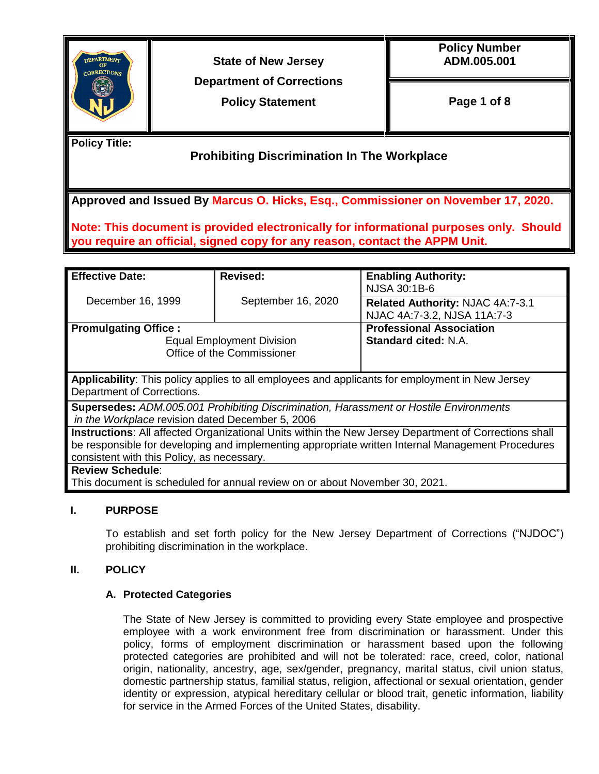

**State of New Jersey Department of Corrections**

**Policy Statement**

**Policy Number ADM.005.001**

**Page 1 of 8**

**Policy Title:**

**Prohibiting Discrimination In The Workplace**

**Approved and Issued By Marcus O. Hicks, Esq., Commissioner on November 17, 2020.** 

**Note: This document is provided electronically for informational purposes only. Should you require an official, signed copy for any reason, contact the APPM Unit.** 

| <b>Effective Date:</b>                                                                                                                                                                                                                                   | <b>Revised:</b>                                                                                                                  | <b>Enabling Authority:</b><br>NJSA 30:1B-6                      |  |
|----------------------------------------------------------------------------------------------------------------------------------------------------------------------------------------------------------------------------------------------------------|----------------------------------------------------------------------------------------------------------------------------------|-----------------------------------------------------------------|--|
| December 16, 1999                                                                                                                                                                                                                                        | September 16, 2020                                                                                                               | Related Authority: NJAC 4A:7-3.1<br>NJAC 4A:7-3.2, NJSA 11A:7-3 |  |
| <b>Promulgating Office:</b>                                                                                                                                                                                                                              | <b>Professional Association</b><br><b>Standard cited: N.A.</b><br><b>Equal Employment Division</b><br>Office of the Commissioner |                                                                 |  |
| Applicability: This policy applies to all employees and applicants for employment in New Jersey<br>Department of Corrections.                                                                                                                            |                                                                                                                                  |                                                                 |  |
| Supersedes: ADM.005.001 Prohibiting Discrimination, Harassment or Hostile Environments<br>in the Workplace revision dated December 5, 2006                                                                                                               |                                                                                                                                  |                                                                 |  |
| Instructions: All affected Organizational Units within the New Jersey Department of Corrections shall<br>be responsible for developing and implementing appropriate written Internal Management Procedures<br>consistent with this Policy, as necessary. |                                                                                                                                  |                                                                 |  |
| <b>Review Schedule:</b><br>This document is scheduled for annual review on or about November 30, 2021.                                                                                                                                                   |                                                                                                                                  |                                                                 |  |

# **I. PURPOSE**

To establish and set forth policy for the New Jersey Department of Corrections ("NJDOC") prohibiting discrimination in the workplace.

# **II. POLICY**

### **A. Protected Categories**

The State of New Jersey is committed to providing every State employee and prospective employee with a work environment free from discrimination or harassment. Under this policy, forms of employment discrimination or harassment based upon the following protected categories are prohibited and will not be tolerated: race, creed, color, national origin, nationality, ancestry, age, sex/gender, pregnancy, marital status, civil union status, domestic partnership status, familial status, religion, affectional or sexual orientation, gender identity or expression, atypical hereditary cellular or blood trait, genetic information, liability for service in the Armed Forces of the United States, disability.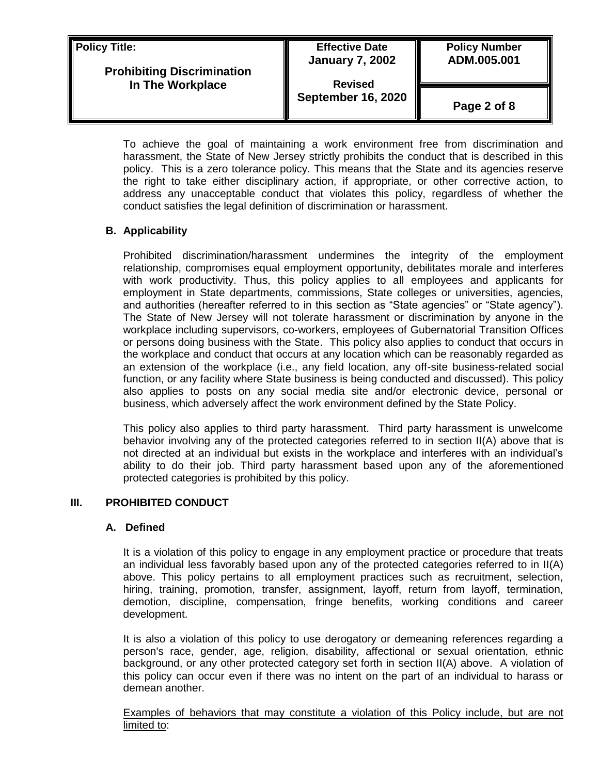| <b>Policy Title:</b><br><b>Prohibiting Discrimination</b><br>In The Workplace | <b>Effective Date</b><br><b>January 7, 2002</b><br><b>Revised</b> | <b>Policy Number</b><br>ADM.005.001 |
|-------------------------------------------------------------------------------|-------------------------------------------------------------------|-------------------------------------|
|                                                                               | <b>September 16, 2020</b>                                         | Page 2 of 8                         |

To achieve the goal of maintaining a work environment free from discrimination and harassment, the State of New Jersey strictly prohibits the conduct that is described in this policy. This is a zero tolerance policy. This means that the State and its agencies reserve the right to take either disciplinary action, if appropriate, or other corrective action, to address any unacceptable conduct that violates this policy, regardless of whether the conduct satisfies the legal definition of discrimination or harassment.

## **B. Applicability**

Prohibited discrimination/harassment undermines the integrity of the employment relationship, compromises equal employment opportunity, debilitates morale and interferes with work productivity. Thus, this policy applies to all employees and applicants for employment in State departments, commissions, State colleges or universities, agencies, and authorities (hereafter referred to in this section as "State agencies" or "State agency"). The State of New Jersey will not tolerate harassment or discrimination by anyone in the workplace including supervisors, co-workers, employees of Gubernatorial Transition Offices or persons doing business with the State. This policy also applies to conduct that occurs in the workplace and conduct that occurs at any location which can be reasonably regarded as an extension of the workplace (i.e., any field location, any off-site business-related social function, or any facility where State business is being conducted and discussed). This policy also applies to posts on any social media site and/or electronic device, personal or business, which adversely affect the work environment defined by the State Policy.

This policy also applies to third party harassment. Third party harassment is unwelcome behavior involving any of the protected categories referred to in section II(A) above that is not directed at an individual but exists in the workplace and interferes with an individual's ability to do their job. Third party harassment based upon any of the aforementioned protected categories is prohibited by this policy.

### **III. PROHIBITED CONDUCT**

#### **A. Defined**

It is a violation of this policy to engage in any employment practice or procedure that treats an individual less favorably based upon any of the protected categories referred to in II(A) above. This policy pertains to all employment practices such as recruitment, selection, hiring, training, promotion, transfer, assignment, layoff, return from layoff, termination, demotion, discipline, compensation, fringe benefits, working conditions and career development.

It is also a violation of this policy to use derogatory or demeaning references regarding a person's race, gender, age, religion, disability, affectional or sexual orientation, ethnic background, or any other protected category set forth in section II(A) above. A violation of this policy can occur even if there was no intent on the part of an individual to harass or demean another.

Examples of behaviors that may constitute a violation of this Policy include, but are not limited to: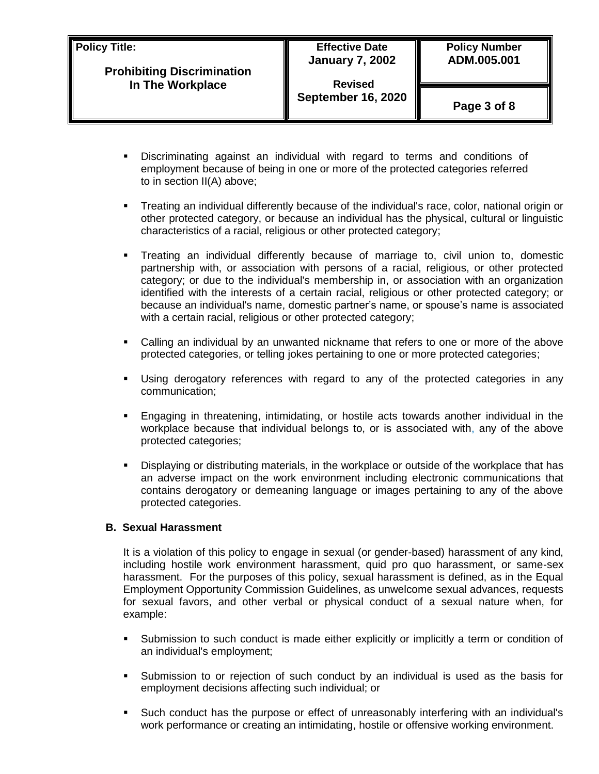| Policy Title:<br><b>Prohibiting Discrimination</b><br>In The Workplace | <b>Effective Date</b><br><b>January 7, 2002</b><br><b>Revised</b> | <b>Policy Number</b><br>ADM.005.001 |
|------------------------------------------------------------------------|-------------------------------------------------------------------|-------------------------------------|
|                                                                        | <b>September 16, 2020</b>                                         | Page 3 of 8                         |

- Discriminating against an individual with regard to terms and conditions of employment because of being in one or more of the protected categories referred to in section II(A) above;
- Treating an individual differently because of the individual's race, color, national origin or other protected category, or because an individual has the physical, cultural or linguistic characteristics of a racial, religious or other protected category;
- Treating an individual differently because of marriage to, civil union to, domestic partnership with, or association with persons of a racial, religious, or other protected category; or due to the individual's membership in, or association with an organization identified with the interests of a certain racial, religious or other protected category; or because an individual's name, domestic partner's name, or spouse's name is associated with a certain racial, religious or other protected category;
- Calling an individual by an unwanted nickname that refers to one or more of the above protected categories, or telling jokes pertaining to one or more protected categories;
- Using derogatory references with regard to any of the protected categories in any communication;
- Engaging in threatening, intimidating, or hostile acts towards another individual in the workplace because that individual belongs to, or is associated with, any of the above protected categories;
- Displaying or distributing materials, in the workplace or outside of the workplace that has an adverse impact on the work environment including electronic communications that contains derogatory or demeaning language or images pertaining to any of the above protected categories.

### **B. Sexual Harassment**

It is a violation of this policy to engage in sexual (or gender-based) harassment of any kind, including hostile work environment harassment, quid pro quo harassment, or same-sex harassment. For the purposes of this policy, sexual harassment is defined, as in the Equal Employment Opportunity Commission Guidelines, as unwelcome sexual advances, requests for sexual favors, and other verbal or physical conduct of a sexual nature when, for example:

- Submission to such conduct is made either explicitly or implicitly a term or condition of an individual's employment;
- Submission to or rejection of such conduct by an individual is used as the basis for employment decisions affecting such individual; or
- Such conduct has the purpose or effect of unreasonably interfering with an individual's work performance or creating an intimidating, hostile or offensive working environment.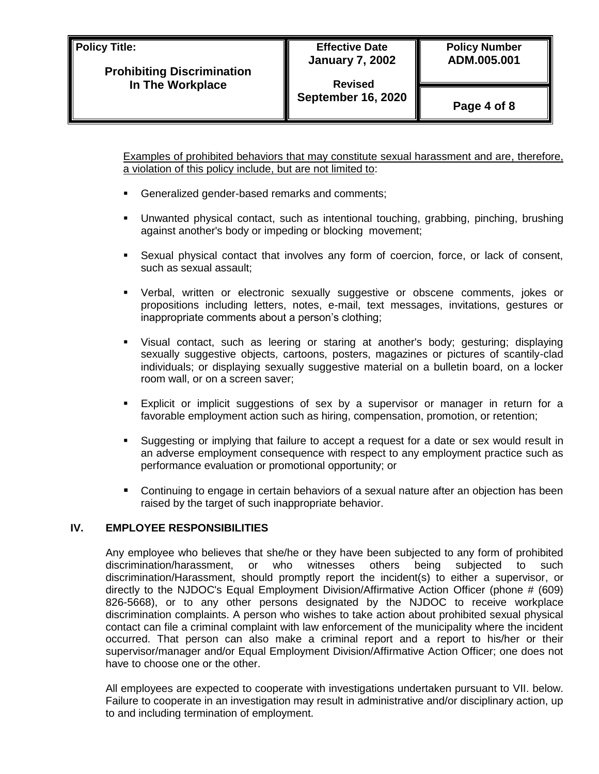**Policy Title:**

**Revised September 16, 2020**

**Page 4 of 8**

Examples of prohibited behaviors that may constitute sexual harassment and are, therefore, a violation of this policy include, but are not limited to:

- Generalized gender-based remarks and comments;
- Unwanted physical contact, such as intentional touching, grabbing, pinching, brushing against another's body or impeding or blocking movement;
- Sexual physical contact that involves any form of coercion, force, or lack of consent, such as sexual assault;
- Verbal, written or electronic sexually suggestive or obscene comments, jokes or propositions including letters, notes, e-mail, text messages, invitations, gestures or inappropriate comments about a person's clothing;
- Visual contact, such as leering or staring at another's body; gesturing; displaying sexually suggestive objects, cartoons, posters, magazines or pictures of scantily-clad individuals; or displaying sexually suggestive material on a bulletin board, on a locker room wall, or on a screen saver;
- Explicit or implicit suggestions of sex by a supervisor or manager in return for a favorable employment action such as hiring, compensation, promotion, or retention;
- Suggesting or implying that failure to accept a request for a date or sex would result in an adverse employment consequence with respect to any employment practice such as performance evaluation or promotional opportunity; or
- Continuing to engage in certain behaviors of a sexual nature after an objection has been raised by the target of such inappropriate behavior.

### **IV. EMPLOYEE RESPONSIBILITIES**

Any employee who believes that she/he or they have been subjected to any form of prohibited discrimination/harassment, or who witnesses others being subjected to such discrimination/Harassment, should promptly report the incident(s) to either a supervisor, or directly to the NJDOC's Equal Employment Division/Affirmative Action Officer (phone # (609) 826-5668), or to any other persons designated by the NJDOC to receive workplace discrimination complaints. A person who wishes to take action about prohibited sexual physical contact can file a criminal complaint with law enforcement of the municipality where the incident occurred. That person can also make a criminal report and a report to his/her or their supervisor/manager and/or Equal Employment Division/Affirmative Action Officer; one does not have to choose one or the other.

All employees are expected to cooperate with investigations undertaken pursuant to VII. below. Failure to cooperate in an investigation may result in administrative and/or disciplinary action, up to and including termination of employment.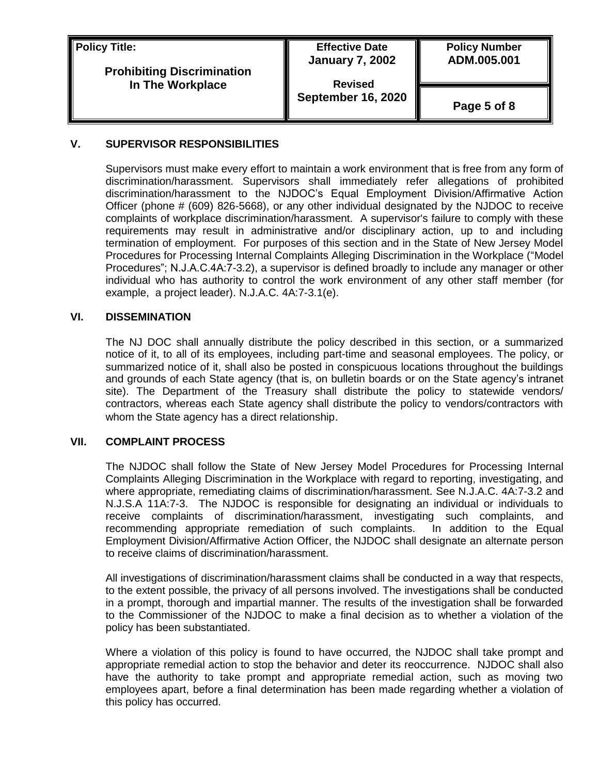**Policy Title:**

### **Prohibiting Discrimination In The Workplace**

### **Effective Date January 7, 2002**

**Revised September 16, 2020** **Policy Number ADM.005.001** 

**Page 5 of 8**

### **V. SUPERVISOR RESPONSIBILITIES**

Supervisors must make every effort to maintain a work environment that is free from any form of discrimination/harassment. Supervisors shall immediately refer allegations of prohibited discrimination/harassment to the NJDOC's Equal Employment Division/Affirmative Action Officer (phone # (609) 826-5668), or any other individual designated by the NJDOC to receive complaints of workplace discrimination/harassment. A supervisor's failure to comply with these requirements may result in administrative and/or disciplinary action, up to and including termination of employment. For purposes of this section and in the State of New Jersey Model Procedures for Processing Internal Complaints Alleging Discrimination in the Workplace ("Model Procedures"; N.J.A.C.4A:7-3.2), a supervisor is defined broadly to include any manager or other individual who has authority to control the work environment of any other staff member (for example, a project leader). N.J.A.C. 4A:7-3.1(e).

## **VI. DISSEMINATION**

The NJ DOC shall annually distribute the policy described in this section, or a summarized notice of it, to all of its employees, including part-time and seasonal employees. The policy, or summarized notice of it, shall also be posted in conspicuous locations throughout the buildings and grounds of each State agency (that is, on bulletin boards or on the State agency's intranet site). The Department of the Treasury shall distribute the policy to statewide vendors/ contractors, whereas each State agency shall distribute the policy to vendors/contractors with whom the State agency has a direct relationship.

### **VII. COMPLAINT PROCESS**

The NJDOC shall follow the State of New Jersey Model Procedures for Processing Internal Complaints Alleging Discrimination in the Workplace with regard to reporting, investigating, and where appropriate, remediating claims of discrimination/harassment. See N.J.A.C. 4A:7-3.2 and N.J.S.A 11A:7-3. The NJDOC is responsible for designating an individual or individuals to receive complaints of discrimination/harassment, investigating such complaints, and recommending appropriate remediation of such complaints. In addition to the Equal Employment Division/Affirmative Action Officer, the NJDOC shall designate an alternate person to receive claims of discrimination/harassment.

All investigations of discrimination/harassment claims shall be conducted in a way that respects, to the extent possible, the privacy of all persons involved. The investigations shall be conducted in a prompt, thorough and impartial manner. The results of the investigation shall be forwarded to the Commissioner of the NJDOC to make a final decision as to whether a violation of the policy has been substantiated.

Where a violation of this policy is found to have occurred, the NJDOC shall take prompt and appropriate remedial action to stop the behavior and deter its reoccurrence. NJDOC shall also have the authority to take prompt and appropriate remedial action, such as moving two employees apart, before a final determination has been made regarding whether a violation of this policy has occurred.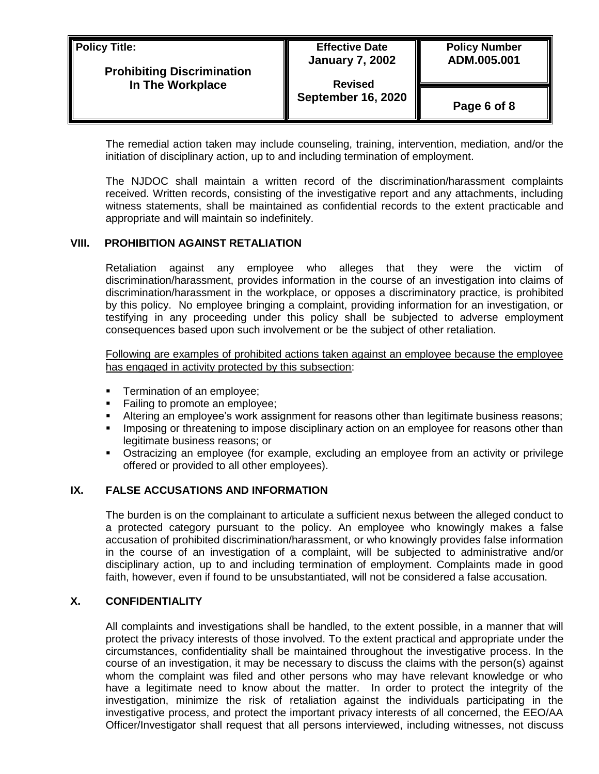| <b>Policy Title:</b><br><b>Prohibiting Discrimination</b><br>In The Workplace | <b>Effective Date</b><br><b>January 7, 2002</b><br><b>Revised</b> | <b>Policy Number</b><br>ADM.005.001 |
|-------------------------------------------------------------------------------|-------------------------------------------------------------------|-------------------------------------|
|                                                                               | <b>September 16, 2020</b>                                         | Page 6 of 8                         |

The remedial action taken may include counseling, training, intervention, mediation, and/or the initiation of disciplinary action, up to and including termination of employment.

The NJDOC shall maintain a written record of the discrimination/harassment complaints received. Written records, consisting of the investigative report and any attachments, including witness statements, shall be maintained as confidential records to the extent practicable and appropriate and will maintain so indefinitely.

#### **VIII. PROHIBITION AGAINST RETALIATION**

Retaliation against any employee who alleges that they were the victim of discrimination/harassment, provides information in the course of an investigation into claims of discrimination/harassment in the workplace, or opposes a discriminatory practice, is prohibited by this policy. No employee bringing a complaint, providing information for an investigation, or testifying in any proceeding under this policy shall be subjected to adverse employment consequences based upon such involvement or be the subject of other retaliation.

Following are examples of prohibited actions taken against an employee because the employee has engaged in activity protected by this subsection:

- **Termination of an employee;**
- Failing to promote an employee;
- Altering an employee's work assignment for reasons other than legitimate business reasons;
- **IMPOSING OF THE IMPOSE OF STARK IS A THE IMPOSE OF IMPOSITY** Imposing or ther than legitimate business reasons; or
- Ostracizing an employee (for example, excluding an employee from an activity or privilege offered or provided to all other employees).

#### **IX. FALSE ACCUSATIONS AND INFORMATION**

The burden is on the complainant to articulate a sufficient nexus between the alleged conduct to a protected category pursuant to the policy. An employee who knowingly makes a false accusation of prohibited discrimination/harassment, or who knowingly provides false information in the course of an investigation of a complaint, will be subjected to administrative and/or disciplinary action, up to and including termination of employment. Complaints made in good faith, however, even if found to be unsubstantiated, will not be considered a false accusation.

#### **X. CONFIDENTIALITY**

All complaints and investigations shall be handled, to the extent possible, in a manner that will protect the privacy interests of those involved. To the extent practical and appropriate under the circumstances, confidentiality shall be maintained throughout the investigative process. In the course of an investigation, it may be necessary to discuss the claims with the person(s) against whom the complaint was filed and other persons who may have relevant knowledge or who have a legitimate need to know about the matter. In order to protect the integrity of the investigation, minimize the risk of retaliation against the individuals participating in the investigative process, and protect the important privacy interests of all concerned, the EEO/AA Officer/Investigator shall request that all persons interviewed, including witnesses, not discuss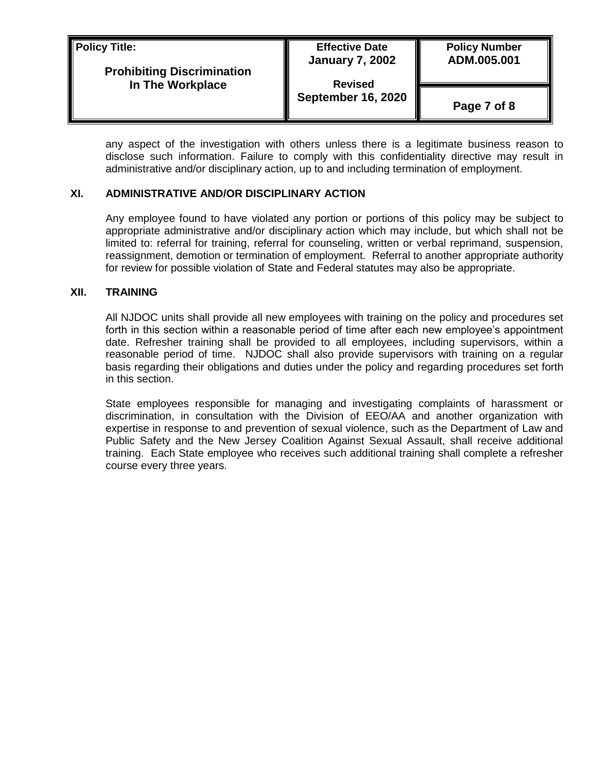| Policy Title:<br><b>Prohibiting Discrimination</b><br>In The Workplace | <b>Effective Date</b><br><b>January 7, 2002</b><br><b>Revised</b> | <b>Policy Number</b><br>ADM.005.001 |
|------------------------------------------------------------------------|-------------------------------------------------------------------|-------------------------------------|
|                                                                        | <b>September 16, 2020</b>                                         | Page 7 of 8                         |

any aspect of the investigation with others unless there is a legitimate business reason to disclose such information. Failure to comply with this confidentiality directive may result in administrative and/or disciplinary action, up to and including termination of employment.

### **XI. ADMINISTRATIVE AND/OR DISCIPLINARY ACTION**

Any employee found to have violated any portion or portions of this policy may be subject to appropriate administrative and/or disciplinary action which may include, but which shall not be limited to: referral for training, referral for counseling, written or verbal reprimand, suspension, reassignment, demotion or termination of employment. Referral to another appropriate authority for review for possible violation of State and Federal statutes may also be appropriate.

#### **XII. TRAINING**

All NJDOC units shall provide all new employees with training on the policy and procedures set forth in this section within a reasonable period of time after each new employee's appointment date. Refresher training shall be provided to all employees, including supervisors, within a reasonable period of time. NJDOC shall also provide supervisors with training on a regular basis regarding their obligations and duties under the policy and regarding procedures set forth in this section.

State employees responsible for managing and investigating complaints of harassment or discrimination, in consultation with the Division of EEO/AA and another organization with expertise in response to and prevention of sexual violence, such as the Department of Law and Public Safety and the New Jersey Coalition Against Sexual Assault, shall receive additional training. Each State employee who receives such additional training shall complete a refresher course every three years.